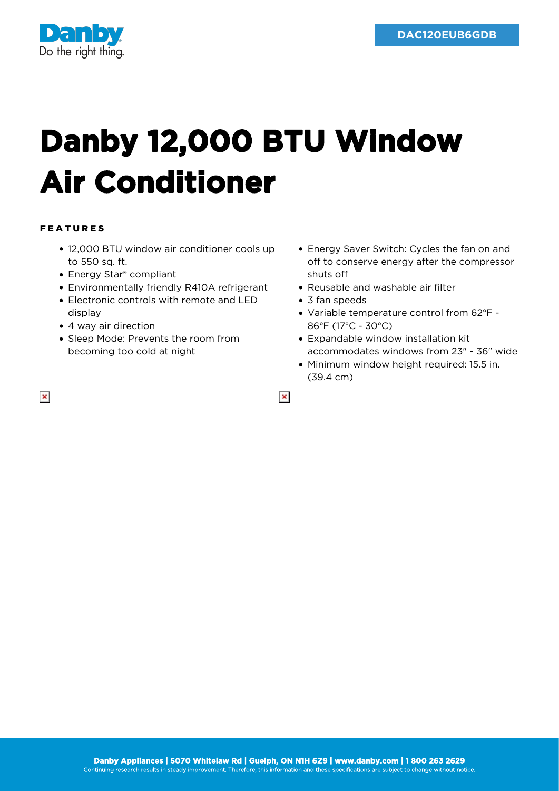

## **Danby 12,000 BTU Window Air Conditioner**

## FEATURES

- 12,000 BTU window air conditioner cools up to 550 sq. ft.
- Energy Star<sup>®</sup> compliant
- Environmentally friendly R410A refrigerant
- Electronic controls with remote and LED display
- 4 way air direction
- Sleep Mode: Prevents the room from becoming too cold at night
- Energy Saver Switch: Cycles the fan on and off to conserve energy after the compressor shuts off
- Reusable and washable air filter
- 3 fan speeds

 $\pmb{\times}$ 

- Variable temperature control from 62ºF 86ºF (17ºC - 30ºC)
- Expandable window installation kit accommodates windows from 23" - 36" wide
- Minimum window height required: 15.5 in. (39.4 cm)

 $\pmb{\times}$